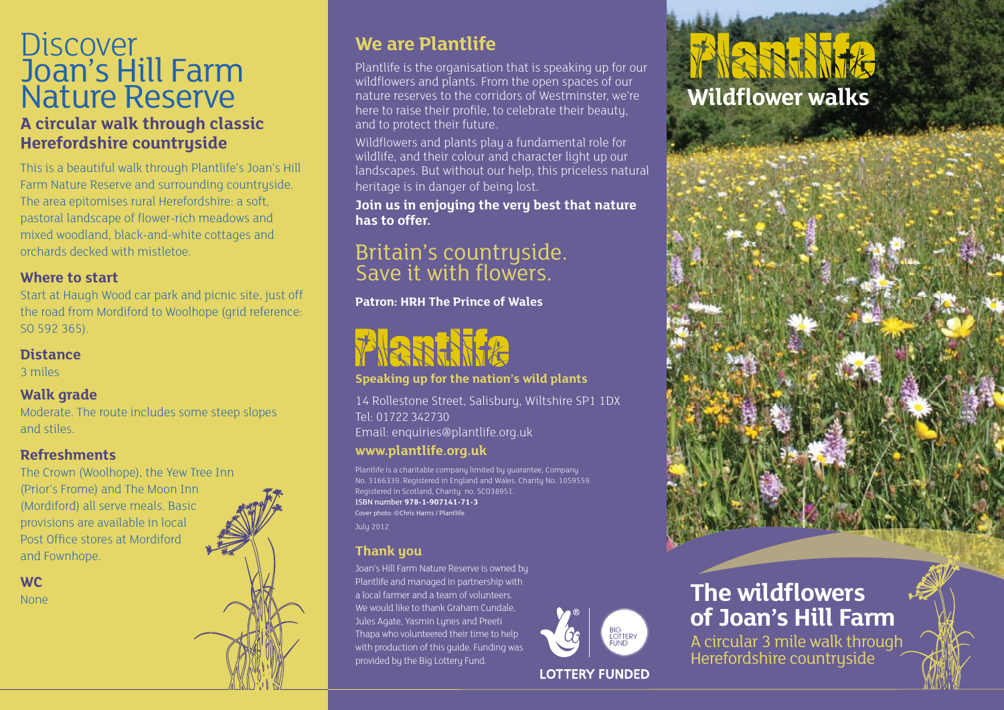## **Discover** Joan's Hill Farm Nature Reserve **A circular walk through classic Herefordshire countryside**

This is a beautiful walk through Plantlife's Joan's Hill Farm Nature Reserve and surrounding countryside. The area epitomises rural Herefordshire: a soft, pastoral landscape of flower-rich meadows and mixed woodland, black-and-white cottages and orchards decked with mistletoe.

### **Where to start**

Start at Haugh Wood car park and picnic site, just off the road from Mordiford to Woolhope (grid reference: SO 592 365).

### **Distance**

3 miles

### **Walk grade**

Moderate. The route includes some steep slopes and stiles.

### **Refreshments**

The Crown (Woolhope), the Yew Tree Inn (Prior's Frome) and The Moon Inn (Mordiford) all serve meals. Basic provisions are available in local Post Office stores at Mordiford and Fownhope.

### **WC**

### **We are Plantlife**

Plantlife is the organisation that is speaking up for our wildflowers and plants. From the open spaces of our nature reserves to the corridors of Westminster, we're here to raise their profile, to celebrate their beauty, and to protect their future.

Wildflowers and plants play a fundamental role for wildlife, and their colour and character light up our landscapes. But without our help, this priceless natural heritage is in danger of being lost.

**Join us in enjoying the very best that nature has to offer.**

## Britain's countryside. Save it with flowers.

**Patron: HRH The Prince of Wales**

**Speaking up for the nation's wild plants**

14 Rollestone Street, Salisbury, Wiltshire SP1 1DX Tel: 01722 342730 Email: enquiries@plantlife.org.uk

### **www.plantlife.org.uk**

Plantlife is a charitable company limited by guarantee, Company No. 3166339. Registered in England and Wales, Charity No. 1059559. Registered in Scotland, Charity no. SCO38951. ISBN number **978-1-907141-71-3** Cover photo: ©Chris Harris / Plantlife July 2012

### **Thank you**

**None The wildflowers** Joan's Hill Farm Nature Reserve is owned by Plantlife and managed in partnership with a local farmer and a team of volunteers. We would like to thank Graham Cundale. Jules Agate, Yasmin Lynes and Preeti Thapa who volunteered their time to help with production of this guide. Funding was provided by the Big Lottery Fund.



**LOTTERY FUNDED** 

# RRHITA **Wildflower walks**



A circular 3 mile walk through Herefordshire countryside

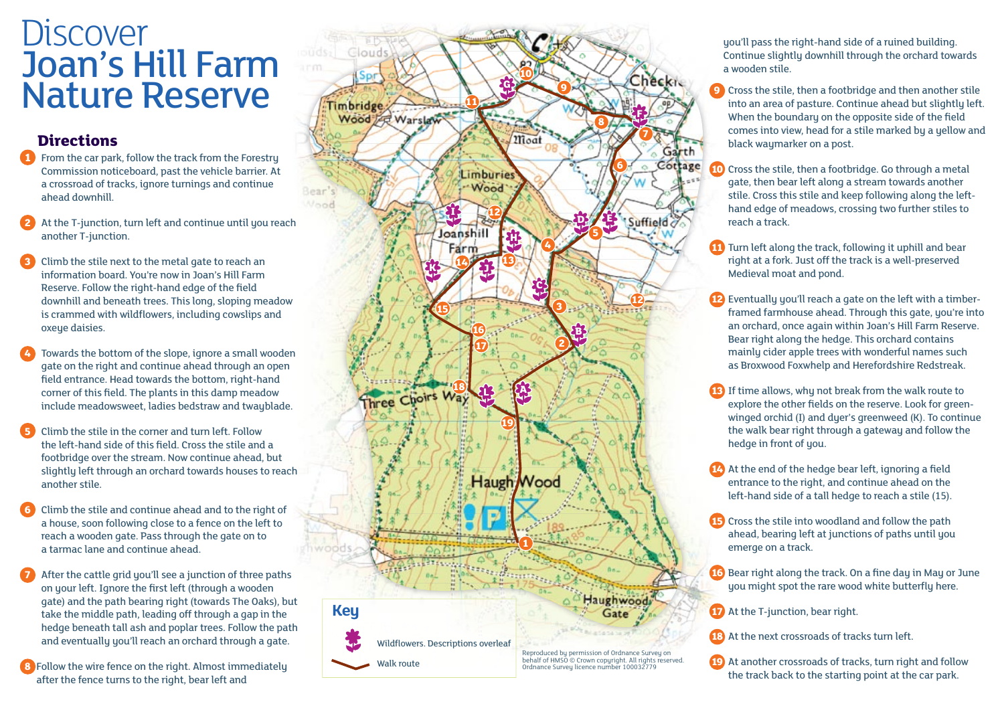# Discover Joan's Hill Farm Nature Reserve

### **Directions**

- **1** From the car park, follow the track from the Forestry Commission noticeboard, past the vehicle barrier. At a crossroad of tracks, ignore turnings and continue ahead downhill.
- At the T-junction, turn left and continue until you reach another T-junction.
- **3** Climb the stile next to the metal gate to reach an information board. You're now in Joan's Hill Farm Reserve. Follow the right-hand edge of the field downhill and beneath trees. This long, sloping meadow is crammed with wildflowers, including cowslips and oxeye daisies.
- **4** Towards the bottom of the slope, ignore a small wooden gate on the right and continue ahead through an open field entrance. Head towards the bottom, right-hand corner of this field. The plants in this damp meadow include meadowsweet, ladies bedstraw and twaublade.
- **5** Climb the stile in the corner and turn left. Follow the left-hand side of this field. Cross the stile and a footbridge over the stream. Now continue ahead, but slightly left through an orchard towards houses to reach another stile.
- **6** Climb the stile and continue ahead and to the right of a house, soon following close to a fence on the left to reach a wooden gate. Pass through the gate on to a tarmac lane and continue ahead.
- **7** After the cattle grid you'll see a junction of three paths on your left. Ignore the first left (through a wooden gate) and the path bearing right (towards The Oaks), but take the middle path, leading off through a gap in the hedge beneath tall ash and poplar trees. Follow the path and eventually you'll reach an orchard through a gate.
- **8** Follow the wire fence on the right. Almost immediately after the fence turns to the right, bear left and



you'll pass the right-hand side of a ruined building. Continue slightly downhill through the orchard towards a wooden stile.

- **9** Cross the stile, then a footbridge and then another stile into an area of pasture. Continue ahead but slightly left. When the boundary on the opposite side of the field comes into view, head for a stile marked by a yellow and black waymarker on a post.
- **10** Cross the stile, then a footbridge. Go through a metal gate, then bear left along a stream towards another stile. Cross this stile and keep following along the lefthand edge of meadows, crossing two further stiles to reach a track.
- **11** Turn left along the track, following it uphill and bear right at a fork. Just off the track is a well-preserved Medieval moat and pond.
- **12** Eventually you'll reach a gate on the left with a timberframed farmhouse ahead. Through this gate, you're into an orchard, once again within Joan's Hill Farm Reserve. Bear right along the hedge. This orchard contains mainly cider apple trees with wonderful names such as Broxwood Foxwhelp and Herefordshire Redstreak.
- **13** If time allows, why not break from the walk route to explore the other fields on the reserve. Look for greenwinged orchid (I) and dyer's greenweed (K). To continue the walk bear right through a gateway and follow the hedge in front of you.
- **14** At the end of the hedge bear left, ignoring a field entrance to the right, and continue ahead on the left-hand side of a tall hedge to reach a stile (15).
- **15** Cross the stile into woodland and follow the path ahead, bearing left at junctions of paths until you emerge on a track.
- **16** Bear right along the track. On a fine day in May or June you might spot the rare wood white butterfly here.
- **17** At the T-junction, bear right.
- **18** At the next crossroads of tracks turn left.
- **19** At another crossroads of tracks, turn right and follow the track back to the starting point at the car park.